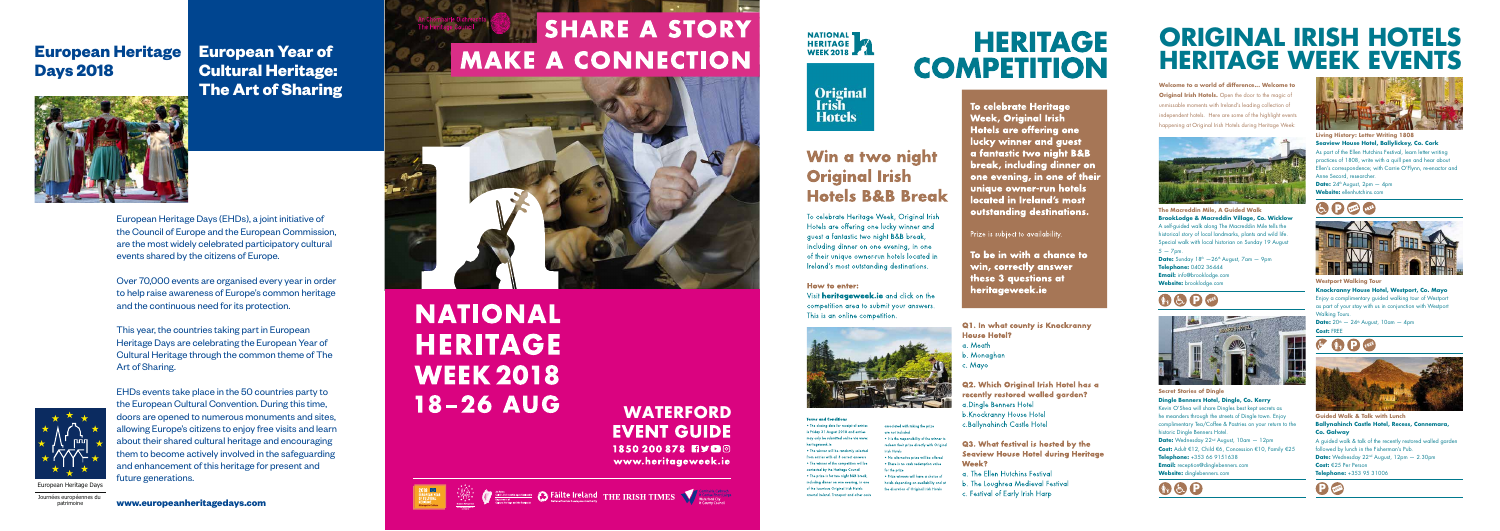

Journées européennes du patrimoine

# **European Heritage Days 2018**



**European Year of Cultural Heritage: The Art of Sharing**



Over 70,000 events are organised every year in order to help raise awareness of Europe's common heritage and the continuous need for its protection.

## **WATERFORD EVENT GUIDE** 1850200878 日ソロの www.heritageweek.ie

**SHARE A STORY** 

**MAKE A CONNECTION** 





# **ORIGINAL IRISH HOTELS HERITAGE WEEK EVENTS**

This year, the countries taking part in European Heritage Days are celebrating the European Year of Cultural Heritage through the common theme of The Art of Sharing.

EHDs events take place in the 50 countries party to the European Cultural Convention. During this time, doors are opened to numerous monuments and sites, allowing Europe's citizens to enjoy free visits and learn about their shared cultural heritage and encouraging them to become actively involved in the safeguarding and enhancement of this heritage for present and future generations.

# **NATIONAL HERITAGE WEEK 2018 18-26 AUG**

**Secret Stories of Dingle Dingle Benners Hotel, Dingle, Co. Ker r y** Kevin O'Shea will share Dingles best kept secrets as he meanders through the streets of Dingle town. Enjoy complimenta ry Tea/Coffee & Pastries on your retu rn to the historic Dingle Benners Hotel. **Date:** Wednesday 22nd August, 10am — 12pm **Cost:** Adult €12, Child €6, Concession €10, Family €25 **Telephone:** +353 66 9151638 **Email:** reception@dinglebenners.com **Website:**<br> **Website:**<br> **PRESERVING THE CONSUMING THE CONSUMING THE CONSUMING TO SHEAD CONSUMING THE CONSUMING TO DURING THE CONSUMING THE CONSUMING THE CONSUMING THE CONSUMING THE CONSUMING THE CONSUMING THE CONSUMING THE** 

**www.europeanheritagedays.com**



Original<br>Irish **Hotels** 

# Win a two night **Original Irish Hotels B&B Break**

To celebrate Heritage Week, Original Irish Hotels are offering one lucky winner and quest a fantastic two night B&B break, including dinner on one evening, in one of their unique owner-run hotels located in Ireland's most outstanding destinations.

### How to enter:

Visit **heritageweek.ie** and click on the competition area to submit your answers. This is an online competition.



associated with taking the prize

. It is the responsibility of the winner t

redeem their prize directly with Origina

.<br>No alternative prize will be offered

· Prize winners will have a choice a

hotels depending on availability and at

the discretion of Original Irish Hotels

.<br>There is no cash redemption value

are not included

**Trich Hotels** 

for the prize

### **Terms and Conditions**

. The closing date for receipt of entries s Friday 31 August 2018 and entries may only be submitted online via www. heritageweek is . The winner will be randomly selected from entries with all 3 correct answers • The winner of the competition will be contacted by the Heritage Council .<br>The prize is for two night B&B break. ncluding dinner on one evening, in one of the Invarious Original Irish Hotels around Ireland. Transport and other costs

# **HERITAGE COMPETITION**

**To celebrate Heritage Week, Original Irish Hotels are offering one** lucky winner and guest a fantastic two night B&B break, including dinner on one evening, in one of their unique owner-run hotels located in Ireland's most outstanding destinations.

Prize is subject to availability.

To be in with a chance to win, correctly answer these 3 questions at heritageweek.ie

Q1. In what county is Knockranny **House Hotel?** 

- a Meath
- Monaghan
- 

Q2. Which Original Irish Hotel has a recently restored walled garden? .Dingle Benners Hotel b.Knockranny House Hotel c.Ballynghinch Castle Hotel

**Q3. What festival is hosted by the Seaview House Hotel during Heritage** Week?

a. The Ellen Hutchins Festival

- b. The Loughrea Medieval Festival
- c. Festival of Early Irish Harp

**Date:**  $20^{th} - 24^{th}$  August,  $10$ am  $- 4$ pm **Cost:** FREE

**Welcome to a world of difference... Welcome to Original Irish Hotels.** Open the door to the magic of unmissable moments with Ireland 's leading collection of independent hotels. Here are some of the highlight events happening at Original Irish Hotels during Heritage Week:



Date:  $24^{\text{th}}$  August, 2pm - 4pm **Website:** ellenhutchins.com





**The Macreddin Mile, A Guided Walk B rookLodge & Macreddin Village, Co. Wicklow** A self-guided walk along The Macreddin Mile tells the historical story of local landmarks, plants and wild lite. Special walk with local historian on Sunday 19 August  $5 - 7$ pm. **Date:** Sunday 18<sup>th</sup> —26<sup>th</sup> August, 7am — 9pm **Telephone:** 0402 36444 **Email:** info@brooklodge.com **Website:** brooklodge.com

# **FREE**











**Westpo rt Walking Tour Knockranny House Hotel, Westpo rt, Co. Mayo** Enjoy a complimenta ry guided walking tour of Westpo rt as pa rt of your stay with us in conjunction with Westpo rt Walking Tours.

**Guided Walk & Talk with Lunch Ballynahinch Castle Hotel, Recess, Connemara, Co. Galway** A guided walk & talk of the recently restored walled garden followed by lunch in the Fishe rman 's Pub. **Date:** Wednesday 22nd August, 12pm — 2.30pm **Cost:** €25 Per Person

**Telephone:** +353 95 31006

**Living Histo ry: Letter Writing 1808 Seaview House Hotel, Ballylicke y, Co. Cork** As pa rt of the Ellen Hutchins Festival, lea rn letter writing practices of 1808, write with a quill pen and hear about Ellen 's correspondence; with Carrie O'Flynn, re-enactor and Anne Secord, researche r .

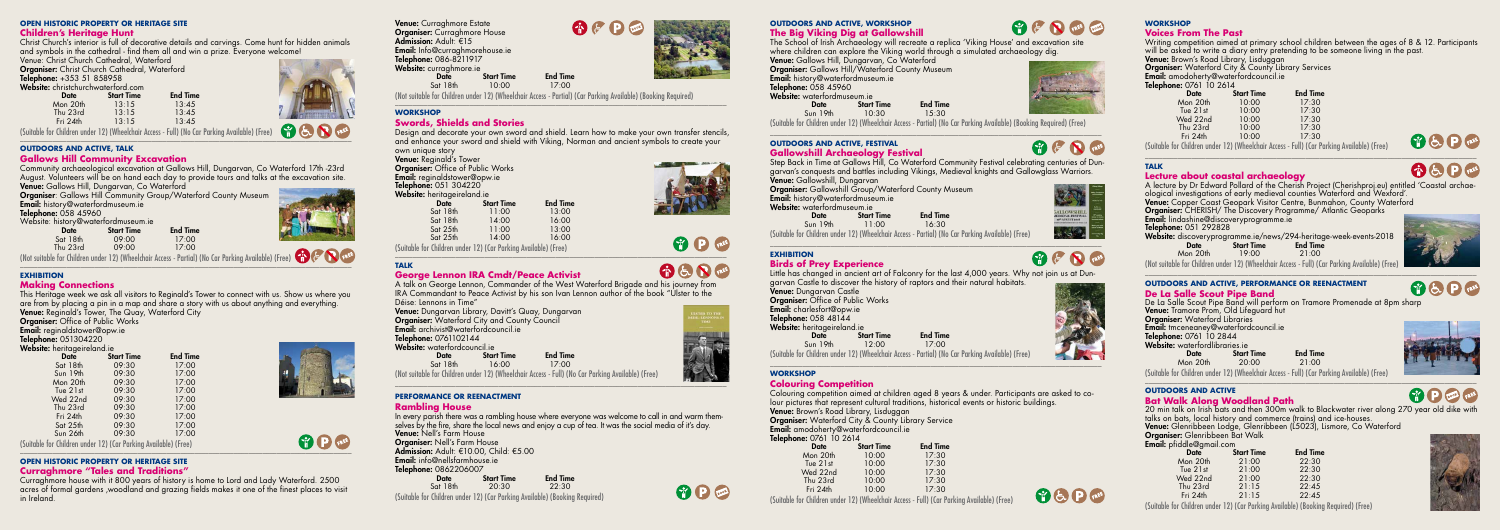### **OPEN HISTORIC PROPERTY OR HERITAGE SITE**

### **Children's Heritage Hunt**

Christ Church's interior is full of decorative details and carvings. Come hunt for hidden animals and symbols in the cathedral - find them all and win a prize. Everyone welcome!

Venue: Christ Church Cathedral, Waterford

**Organiser:** Christ Church Cathedral, Waterford Telephone: +353 51 858958

Website: christchurchwaterford.com **Start Time** End Time<br> $13:15$   $13:45$ Mon 20th 13:15 13:45 Thu 23rd 13:15 13:45<br>Fri 24th 13:15 13:45



Fri 24th 13:15 13:45 (Suitable for Children under 12) (Wheelchair Access - Full) (No Car Parking Available) (Free) \_\_\_\_\_\_\_\_\_\_\_\_\_\_\_\_\_\_\_\_\_\_\_\_\_\_\_\_\_\_\_\_\_\_\_\_\_\_\_\_\_\_\_\_\_\_\_\_\_\_\_\_\_\_\_\_\_\_\_\_\_\_\_\_\_\_\_\_\_\_\_\_\_\_\_\_\_\_\_\_\_\_\_\_\_\_\_\_\_\_\_\_\_

**Date** Start Time End Time<br>Sot 18th 09:00 17:00 Sat 18th 09:00 17:00<br>Thu 23rd 09:00 17:00 Thu 23rd 09:00 17:00

### **OUTDOORS AND ACTIVE, TALK**

This Heritage week we ask all visitors to Reginald's Tower to connect with us. Show us where you are from by placing a pin in a map and share a story with us about anything and everything. Venue: Reginald's Tower, The Quay, Waterford City

### **Gallows Hill Community Excavation**

Community archaeological excavation at Gallows Hill, Dungarvan, Co Waterford 17th -23rd August. Volunteers will be on hand each day to provide tours and talks at the excavation site. Venue: Gallows Hill, Dungarvan, Co Waterford

**Organiser:** Gallows Hill Community Group/Waterford County Museum

**Organiser: Office of Public Works** Email: reginaldstower@opw.ie

Telephone: 051304220

Email: history@waterfordmuseum.ie

Telephone: 058 45960

P FREE \_\_\_\_\_\_\_\_\_\_\_\_\_\_\_\_\_\_\_\_\_\_\_\_\_\_\_\_\_\_\_\_\_\_\_\_\_\_\_\_\_\_\_\_\_\_\_\_\_\_\_\_\_\_\_\_\_\_\_\_\_\_\_\_\_\_\_\_\_\_\_\_\_\_\_\_\_\_\_\_\_\_\_\_\_\_\_\_\_\_\_\_\_

Website: history@waterfordmuseum.ie



Venue: Curraghmore Estate **Organiser:** Curraghmore House Admission: Adult: €15 Email: Info@curraghmorehouse.ie Telephone: 086-8211917

Website: curraghmore.ie<br>Date

**Start Time** End Time<br>10:00 17:00

(Not suitable for Children under 12) (Wheelchair Access - Partial) (No Car Parking Available) (Free) \_\_\_\_\_\_\_\_\_\_\_\_\_\_\_\_\_\_\_\_\_\_\_\_\_\_\_\_\_\_\_\_\_\_\_\_\_\_\_\_\_\_\_\_\_\_\_\_\_\_\_\_\_\_\_\_\_\_\_\_\_\_\_\_\_\_\_\_\_\_\_\_\_\_\_\_\_\_\_\_\_\_\_\_\_\_\_\_\_\_\_\_\_

 $Sat$  18th (Not suitable for Children under 12) (Wheelchair Access - Partial) (Car Parking Available) (Booking Required)

**A**  $F$  **P** 

### **EXHIBITION**

### **Making Connections**

### $\_$  ,  $\_$  ,  $\_$  ,  $\_$  ,  $\_$  ,  $\_$  ,  $\_$  ,  $\_$  ,  $\_$  ,  $\_$  ,  $\_$  ,  $\_$  ,  $\_$  ,  $\_$  ,  $\_$  ,  $\_$  ,  $\_$  ,  $\_$  ,  $\_$  ,  $\_$  ,  $\_$  ,  $\_$  ,  $\_$  ,  $\_$  ,  $\_$  ,  $\_$  ,  $\_$  ,  $\_$  ,  $\_$  ,  $\_$  ,  $\_$  ,  $\_$  ,  $\_$  ,  $\_$  ,  $\_$  ,  $\_$  ,  $\_$  , **WORKSHOP**

Venue: Reginald's Tower **Organiser:** Office of Public Works **Email:** reginaldstower@opw.ie Telephone: 051 304220 Website: heritageireland.je

(Suitable for Children under 12) (Car Parking Available) (Free)  $\mathcal{L}=\mathcal{L}=\mathcal{L}=\mathcal{L}=\mathcal{L}=\mathcal{L}=\mathcal{L}=\mathcal{L}=\mathcal{L}=\mathcal{L}=\mathcal{L}=\mathcal{L}=\mathcal{L}=\mathcal{L}=\mathcal{L}=\mathcal{L}=\mathcal{L}=\mathcal{L}=\mathcal{L}=\mathcal{L}=\mathcal{L}=\mathcal{L}=\mathcal{L}=\mathcal{L}=\mathcal{L}=\mathcal{L}=\mathcal{L}=\mathcal{L}=\mathcal{L}=\mathcal{L}=\mathcal{L}=\mathcal{L}=\mathcal{L}=\mathcal{L}=\mathcal{L}=\mathcal{L}=\mathcal{$ 

|  |  |  | <b>Website:</b> heritageireland.ie |  |
|--|--|--|------------------------------------|--|
|  |  |  |                                    |  |

Venue: Dungarvan Library, Davitt's Quay, Dungarvan Organiser: Waterford City and County Council Email: archivist@waterfordcouncil.ie Telephone: 0761102144 Website: waterfordcouncil.ie<br>Date Star **Date** Start Time End Time<br>Sot 18th 16:00 17:00 16:00

| <b>Date</b>                                                     | <b>Start Time</b> | <b>End Time</b> |
|-----------------------------------------------------------------|-------------------|-----------------|
| Sat 18th                                                        | 09:30             | 17:00           |
| Sun 19th                                                        | 09:30             | 17:00           |
| Mon 20th                                                        | 09:30             | 17:00           |
| Tue 21st                                                        | 09:30             | 17:00           |
| Wed 22nd                                                        | 09:30             | 17:00           |
| Thu 23rd                                                        | 09:30             | 17:00           |
| Fri 24th                                                        | 09:30             | 17:00           |
| Sat 25th                                                        | 09:30             | 17:00           |
| Sun 26th                                                        | 09:30             | 17:00           |
| (Suitable for Children under 12) (Car Parking Available) (Free) |                   |                 |



In every parish there was a rambling house where everyone was welcome to call in and warm themselves by the fire, share the local news and enjoy a cup of tea. It was the social media of it's day.

### **OPEN HISTORIC PROPERTY OR HERITAGE SITE Curraghmore "Tales and Traditions"**

Venue: Nell's Farm House **Organiser: Nell's Farm House** 

Email: info@nellsfarmhouse.ie **Telephone:** 0862206007<br>S

Curraghmore house with it 800 years of history is home to Lord and Lady Waterford. 2500 acres of formal gardens ,woodland and grazing fields makes it one of the finest places to visit in Ireland.

**Start Time End Time**<br>20:30 **2**2:30 Sat 18th (Suitable for Children under 12) (Car Parking Available) (Booking Required) The School of Irish Archaeology will recreate a replica 'Viking House' and excavation site where children can explore the Viking world through a simulated archaeology dig.

Venue: Gallows Hill, Dungarvan, Co Waterford **Organiser:** Gallows Hill/Waterford County Museum Email: history@waterfordmuseum.ie

Telephone: 058 45960

Website: waterfordmuseum.ie<br>Date Start **Start Time End Time**<br> $10:30$  **End Time** Sun 19th

### $\_$  ,  $\_$  ,  $\_$  ,  $\_$  ,  $\_$  ,  $\_$  ,  $\_$  ,  $\_$  ,  $\_$  ,  $\_$  ,  $\_$  ,  $\_$  ,  $\_$  ,  $\_$  ,  $\_$  ,  $\_$  ,  $\_$  ,  $\_$  ,  $\_$  ,  $\_$  ,  $\_$  ,  $\_$  ,  $\_$  ,  $\_$  ,  $\_$  ,  $\_$  ,  $\_$  ,  $\_$  ,  $\_$  ,  $\_$  ,  $\_$  ,  $\_$  ,  $\_$  ,  $\_$  ,  $\_$  ,  $\_$  ,  $\_$  , **OUTDOORS AND ACTIVE, FESTIVAL Gallowshill Archaeology Festival**

### **Swords, Shields and Stories**

Design and decorate your own sword and shield. Learn how to make your own transfer stencils, and enhance your sword and shield with Viking, Norman and ancient symbols to create your own unique story

| me, nornagonoruna.ro |                   |                 |  |  |  |  |
|----------------------|-------------------|-----------------|--|--|--|--|
| Date                 | <b>Start Time</b> | <b>End Time</b> |  |  |  |  |
| Sat 18th             | 11:00             | 13:00           |  |  |  |  |
| Sat 18th             | 14:00             | 16:00           |  |  |  |  |
| Sat 25th             | 11:00             | 13:00           |  |  |  |  |
| Sat 25th             | 14:00             | 16:00           |  |  |  |  |
|                      |                   |                 |  |  |  |  |

## $\_$  ,  $\_$  ,  $\_$  ,  $\_$  ,  $\_$  ,  $\_$  ,  $\_$  ,  $\_$  ,  $\_$  ,  $\_$  ,  $\_$  ,  $\_$  ,  $\_$  ,  $\_$  ,  $\_$  ,  $\_$  ,  $\_$  ,  $\_$  ,  $\_$  ,  $\_$  ,  $\_$  ,  $\_$  ,  $\_$  ,  $\_$  ,  $\_$  ,  $\_$  ,  $\_$  ,  $\_$  ,  $\_$  ,  $\_$  ,  $\_$  ,  $\_$  ,  $\_$  ,  $\_$  ,  $\_$  ,  $\_$  ,  $\_$  , **WORKSHOP**

**O** D foot

Colouring competition aimed at children aged 8 years & under. Participants are asked to colour pictures that represent cultural traditions, historical events or historic buildings.

### **TALK**

### **George Lennon IRA Cmdt/Peace Activist**

Writing competition aimed at primary school children between the ages of 8 & 12. Participants will be asked to write a diary entry pretending to be someone living in the past.

Venue: Brown's Road Library, Lisduggan

A talk on George Lennon, Commander of the West Waterford Brigade and his journey from IRA Commandant to Peace Activist by his son Ivan Lennon author of the book "Ulster to the Déise: Lennons in Time"

**Organiser:** Waterford City & County Library Services Email: amodoherty@waterfordcouncil.ie

(Not suitable for Children under 12) (Wheelchair Access - Full) (No Car Parking Available) (Free)



**B** P

A & N FREE

**Organiser:** CHERISH/ The Discovery Programme/ Atlantic Geoparks Email: lindashine@discoveryprogramme.ie

\_\_\_\_\_\_\_\_\_\_\_\_\_\_\_\_\_\_\_\_\_\_\_\_\_\_\_\_\_\_\_\_\_\_\_\_\_\_\_\_\_\_\_\_\_\_\_\_\_\_\_\_\_\_\_\_\_\_\_\_\_\_\_\_\_\_\_\_\_\_\_\_\_\_\_\_\_\_\_\_\_\_\_\_\_\_\_\_\_\_\_\_\_

Website: discoveryprogramme.ie/news/294-heritage-week-events-2018 Date Start Time End Time<br>Mon 20th 19:00 21:00  $19:00$ 

**PERFORMANCE OR REENACTMENT**

Admission: Adult: €10.00, Child: €5.00

**Rambling House**

 $\_$  ,  $\_$  ,  $\_$  ,  $\_$  ,  $\_$  ,  $\_$  ,  $\_$  ,  $\_$  ,  $\_$  ,  $\_$  ,  $\_$  ,  $\_$  ,  $\_$  ,  $\_$  ,  $\_$  ,  $\_$  ,  $\_$  ,  $\_$  ,  $\_$  ,  $\_$  ,  $\_$  ,  $\_$  ,  $\_$  ,  $\_$  ,  $\_$  ,  $\_$  ,  $\_$  ,  $\_$  ,  $\_$  ,  $\_$  ,  $\_$  ,  $\_$  ,  $\_$  ,  $\_$  ,  $\_$  ,  $\_$  ,  $\_$  , **OUTDOORS AND ACTIVE, PERFORMANCE OR REENACTMENT**

De La Salle Scout Pipe Band will perform on Tramore Promenade at 8pm sharp Venue: Tramore Prom, Old Lifeguard hut **Organiser:** Waterford Libraries Email: tmceneaney@waterfordcouncil.ie Telephone: 0761 10 2844

### **OUTDOORS AND ACTIVE, WORKSHOP The Big Viking Dig at Gallowshill**

(Suitable for Children under 12) (Wheelchair Access - Partial) (No Car Parking Available) (Booking Required) (Free)

Step Back in Time at Gallows Hill, Co Waterford Community Festival celebrating centuries of Dungarvan's conquests and battles including Vikings, Medieval knights and Gallowglass Warriors. Venue: Gallowshill, Dungarvan

**Organiser:** Gallowshill Group/Waterford County Museum

Email: history@waterfordmuseum.ie

Website: waterfordmuseum.ie<br>Date Start **Start Time** End Time<br>11:00  $16:30$ Sun 19th

(Suitable for Children under 12) (Wheelchair Access - Partial) (No Car Parking Available) (Free)



**CALCE IN FREE** COOK



# **EXHIBITION**

 $V$ enue:  $D$ Organise Email: ch

**Birds of Prey Experience**

Little has changed in ancient art of Falconry for the last 4,000 years. Why not join us at Dungarvan Castle to discover the history of raptors and their natural habitats.

| <b>Venue:</b> Dungarvan Castle                                                                   |                   |                 |  |
|--------------------------------------------------------------------------------------------------|-------------------|-----------------|--|
| <b>Organiser: Office of Public Works</b>                                                         |                   |                 |  |
| Email: charlesfort@opw.ie                                                                        |                   |                 |  |
| Telephone: 058 48144                                                                             |                   |                 |  |
| Website: heritageireland.ie                                                                      |                   |                 |  |
| Date                                                                                             | <b>Start Time</b> | <b>End Time</b> |  |
| Sun 19th                                                                                         | 12:00             | 17:00           |  |
| (Suitable for Children under 12) (Wheelchair Access - Partial) (No Car Parking Available) (Free) |                   |                 |  |

(Suitable for Children under 12) (Wheelchair Access - Partial) (No Car Parking Available) (Free)

**Colouring Competition**

Venue: Brown's Road Library, Lisduggan

**Organiser:** Waterford City & County Library Service Email: amodoherty@waterfordcouncil.je

**Telephone:** 0761 10 2614

| <b>Date</b> | <b>Start Time</b> | <b>End Time</b> |
|-------------|-------------------|-----------------|
| Mon 20th    | 10:00             | 17:30           |
| Tue 21st    | 10:00             | 17:30           |
| Wed 22nd    | 10:00             | 17:30           |
| Thu 23rd    | 10:00             | 17:30           |
| Fri 24th    | 10:00             | 17:30           |

(Suitable for Children under 12) (Wheelchair Access - Full) (Car Parking Available) (Free)



**P** & P



### **Voices From The Past**

Telephone: 0761 10 2614

| <b>EPHONE.</b> V/OT TV ZOT4 |                   |                 |  |  |  |
|-----------------------------|-------------------|-----------------|--|--|--|
| <b>Date</b>                 | <b>Start Time</b> | <b>End Time</b> |  |  |  |
| Mon 20th                    | 10:00             | 17:30           |  |  |  |
| Tue $21st$                  | 10:00             | 17:30           |  |  |  |
| Wed 22nd                    | 10:00             | 17:30           |  |  |  |
| Thu 23rd                    | 10:00             | 17:30           |  |  |  |
| Fri 24th                    | 10:00             | 17:30           |  |  |  |
|                             |                   |                 |  |  |  |

(Suitable for Children under 12) (Wheelchair Access - Full) (Car Parking Available) (Free)

**P** E P FREE

A & P

### **TALK**

### **Lecture about coastal archaeology**

A lecture by Dr Edward Pollard of the Cherish Project (Cherishproj.eu) entitled 'Coastal archaeological investigations of early medieval counties Waterford and Wexford'.

 $\_$  ,  $\_$  ,  $\_$  ,  $\_$  ,  $\_$  ,  $\_$  ,  $\_$  ,  $\_$  ,  $\_$  ,  $\_$  ,  $\_$  ,  $\_$  ,  $\_$  ,  $\_$  ,  $\_$  ,  $\_$  ,  $\_$  ,  $\_$  ,  $\_$  ,  $\_$  ,  $\_$  ,  $\_$  ,  $\_$  ,  $\_$  ,  $\_$  ,  $\_$  ,  $\_$  ,  $\_$  ,  $\_$  ,  $\_$  ,  $\_$  ,  $\_$  ,  $\_$  ,  $\_$  ,  $\_$  ,  $\_$  ,  $\_$  ,

Venue: Copper Coast Geopark Visitor Centre, Bunmahon, County Waterford

Telephone: 051 292828

(Not suitable for Children under 12) (Wheelchair Access - Full) (Car Parking Available) (Free)

### **De La Salle Scout Pipe Band**

| <b>Website:</b> waterfordlibraries.ie |                   |                 |
|---------------------------------------|-------------------|-----------------|
| <b>Date</b>                           | <b>Start Time</b> | <b>End Time</b> |
| Mon 20th                              | 20:00             | 21:00           |



**A** & P

(Suitable for Children under 12) (Wheelchair Access - Full) (Car Parking Available) (Free) \_\_\_\_\_\_\_\_\_\_\_\_\_\_\_\_\_\_\_\_\_\_\_\_\_\_\_\_\_\_\_\_\_\_\_\_\_\_\_\_\_\_\_\_\_\_\_\_\_\_\_\_\_\_\_\_\_\_\_\_\_\_\_\_\_\_\_\_\_\_\_\_\_\_\_\_\_\_\_\_\_\_\_\_\_\_\_\_\_\_\_\_\_

### **OUTDOORS AND ACTIVE Bat Walk Along Woodland Path**

20 min talk on Irish bats and then 300m walk to Blackwater river along 270 year old dike with talks on bats, local history and commerce (trains) and ice-houses. **Venue:** Glenribbeen Lodge, Glenribbeen (L5023), Lismore, Co Waterford **Organiser:** Glenribbeen Bat Walk Email: pfiddle@gmail.com

| <b>Date</b> | <b>Start Time</b> | <b>End Time</b> |
|-------------|-------------------|-----------------|
| Mon 20th    | 21:00             | 22:30           |
| Tue 21st    | 21:00             | 22:30           |
| Wed 22nd    | 21:00             | 22:30           |
| Thu 23rd    | 21:15             | 22:45           |
| Fri 24th    | 21:15             | 22:45           |
|             |                   |                 |





(Suitable for Children under 12) (Car Parking Available) (Booking Required) (Free)





**P** P R